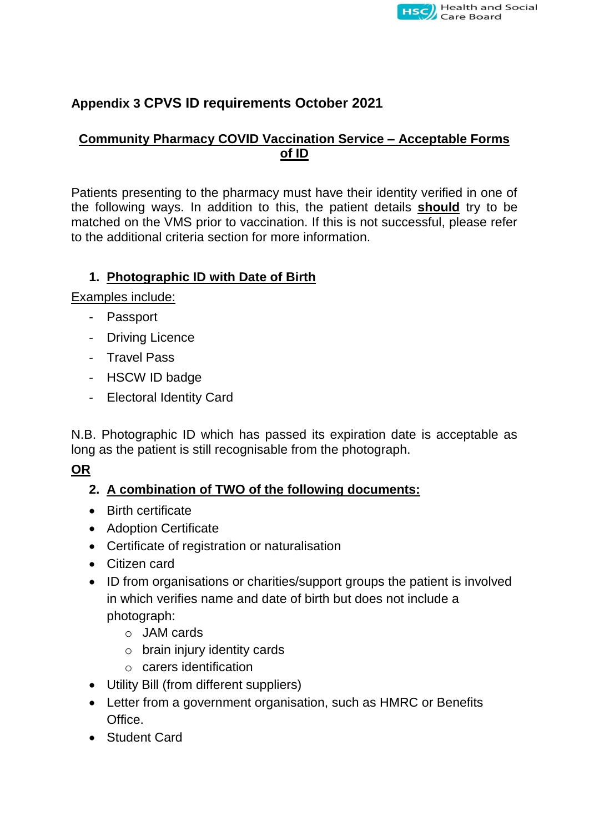

# **Appendix 3 CPVS ID requirements October 2021**

#### **Community Pharmacy COVID Vaccination Service – Acceptable Forms of ID**

Patients presenting to the pharmacy must have their identity verified in one of the following ways. In addition to this, the patient details **should** try to be matched on the VMS prior to vaccination. If this is not successful, please refer to the additional criteria section for more information.

### **1. Photographic ID with Date of Birth**

Examples include:

- Passport
- Driving Licence
- Travel Pass
- HSCW ID badge
- Electoral Identity Card

N.B. Photographic ID which has passed its expiration date is acceptable as long as the patient is still recognisable from the photograph.

#### **OR**

# **2. A combination of TWO of the following documents:**

- Birth certificate
- Adoption Certificate
- Certificate of registration or naturalisation
- Citizen card
- ID from organisations or charities/support groups the patient is involved in which verifies name and date of birth but does not include a photograph:
	- o JAM cards
	- o brain injury identity cards
	- o carers identification
- Utility Bill (from different suppliers)
- Letter from a government organisation, such as HMRC or Benefits Office.
- **•** Student Card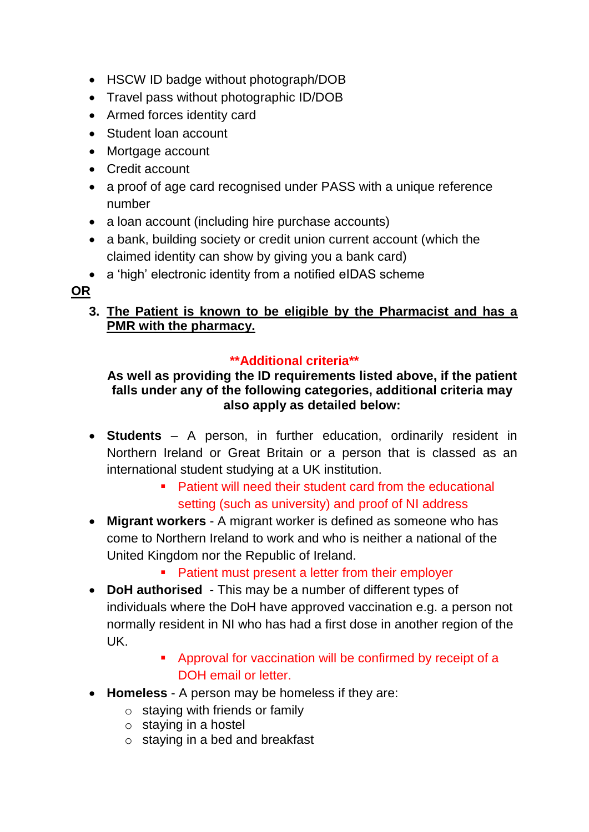- HSCW ID badge without photograph/DOB
- Travel pass without photographic ID/DOB
- Armed forces identity card
- Student loan account
- Mortgage account
- Credit account
- a proof of age card recognised under PASS with a unique reference number
- a loan account (including hire purchase accounts)
- a bank, building society or credit union current account (which the claimed identity can show by giving you a bank card)
- a 'high' electronic identity from a notified eIDAS scheme

# **OR**

# **3. The Patient is known to be eligible by the Pharmacist and has a PMR with the pharmacy.**

# **\*\*Additional criteria\*\***

#### **As well as providing the ID requirements listed above, if the patient falls under any of the following categories, additional criteria may also apply as detailed below:**

- **Students** A person, in further education, ordinarily resident in Northern Ireland or Great Britain or a person that is classed as an international student studying at a UK institution.
	- **Patient will need their student card from the educational** setting (such as university) and proof of NI address
- **Migrant workers** A migrant worker is defined as someone who has come to Northern Ireland to work and who is neither a national of the United Kingdom nor the Republic of Ireland.
	- Patient must present a letter from their employer
- **DoH authorised** This may be a number of different types of individuals where the DoH have approved vaccination e.g. a person not normally resident in NI who has had a first dose in another region of the UK.
	- Approval for vaccination will be confirmed by receipt of a DOH email or letter.
- **Homeless** A person may be homeless if they are:
	- $\circ$  staying with friends or family
	- $\circ$  staying in a hostel
	- $\circ$  staying in a bed and breakfast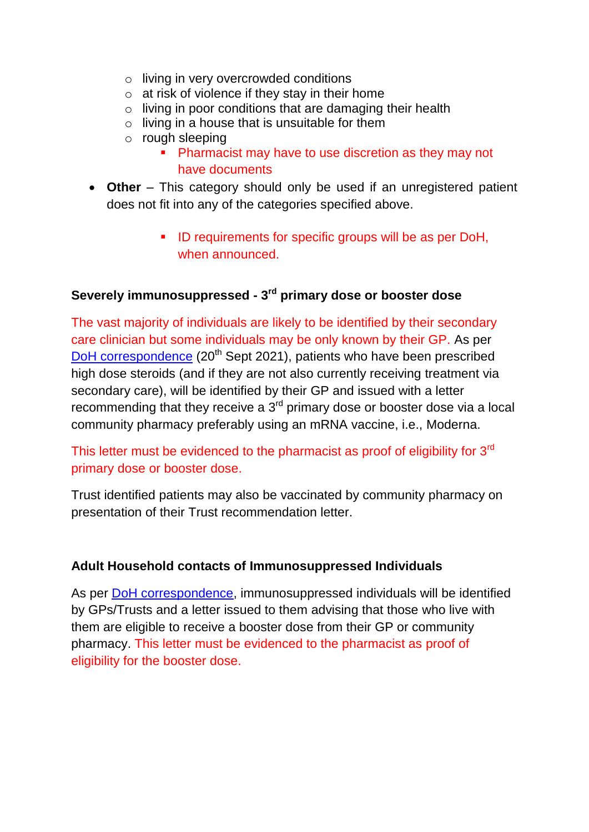- o living in very overcrowded conditions
- $\circ$  at risk of violence if they stay in their home
- o living in poor conditions that are damaging their health
- $\circ$  living in a house that is unsuitable for them
- o rough sleeping
	- Pharmacist may have to use discretion as they may not have documents
- **Other** This category should only be used if an unregistered patient does not fit into any of the categories specified above.
	- **ID requirements for specific groups will be as per DoH,** when announced.

#### **Severely immunosuppressed - 3 rd primary dose or booster dose**

The vast majority of individuals are likely to be identified by their secondary care clinician but some individuals may be only known by their GP. As per [DoH correspondence](https://www.health-ni.gov.uk/sites/default/files/publications/health/doh-hss-md-66-2021.pdf) (20<sup>th</sup> Sept 2021), patients who have been prescribed high dose steroids (and if they are not also currently receiving treatment via secondary care), will be identified by their GP and issued with a letter recommending that they receive a  $3<sup>rd</sup>$  primary dose or booster dose via a local community pharmacy preferably using an mRNA vaccine, i.e., Moderna.

This letter must be evidenced to the pharmacist as proof of eligibility for 3<sup>rd</sup> primary dose or booster dose.

Trust identified patients may also be vaccinated by community pharmacy on presentation of their Trust recommendation letter.

#### **Adult Household contacts of Immunosuppressed Individuals**

As per [DoH correspondence,](https://www.health-ni.gov.uk/sites/default/files/publications/health/doh-hss-md-69-2021_0.pdf) immunosuppressed individuals will be identified by GPs/Trusts and a letter issued to them advising that those who live with them are eligible to receive a booster dose from their GP or community pharmacy. This letter must be evidenced to the pharmacist as proof of eligibility for the booster dose.